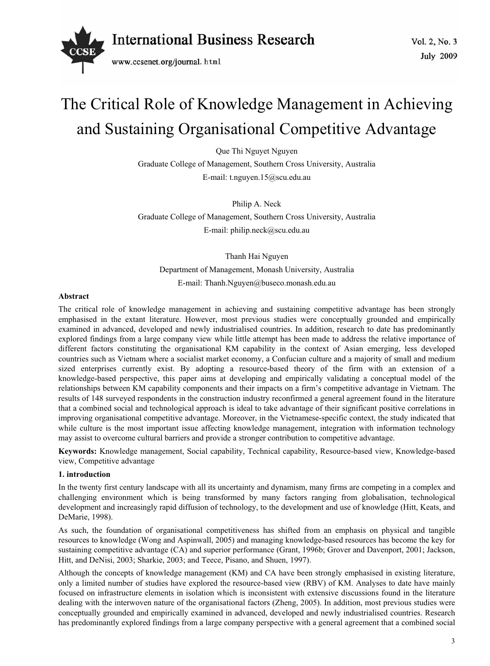

# The Critical Role of Knowledge Management in Achieving and Sustaining Organisational Competitive Advantage

Que Thi Nguyet Nguyen

Graduate College of Management, Southern Cross University, Australia

E-mail: t.nguyen.15@scu.edu.au

Philip A. Neck

Graduate College of Management, Southern Cross University, Australia E-mail: philip.neck@scu.edu.au

Thanh Hai Nguyen Department of Management, Monash University, Australia E-mail: Thanh.Nguyen@buseco.monash.edu.au

#### **Abstract**

The critical role of knowledge management in achieving and sustaining competitive advantage has been strongly emphasised in the extant literature. However, most previous studies were conceptually grounded and empirically examined in advanced, developed and newly industrialised countries. In addition, research to date has predominantly explored findings from a large company view while little attempt has been made to address the relative importance of different factors constituting the organisational KM capability in the context of Asian emerging, less developed countries such as Vietnam where a socialist market economy, a Confucian culture and a majority of small and medium sized enterprises currently exist. By adopting a resource-based theory of the firm with an extension of a knowledge-based perspective, this paper aims at developing and empirically validating a conceptual model of the relationships between KM capability components and their impacts on a firm's competitive advantage in Vietnam. The results of 148 surveyed respondents in the construction industry reconfirmed a general agreement found in the literature that a combined social and technological approach is ideal to take advantage of their significant positive correlations in improving organisational competitive advantage. Moreover, in the Vietnamese-specific context, the study indicated that while culture is the most important issue affecting knowledge management, integration with information technology may assist to overcome cultural barriers and provide a stronger contribution to competitive advantage.

**Keywords:** Knowledge management, Social capability, Technical capability, Resource-based view, Knowledge-based view, Competitive advantage

#### **1. introduction**

In the twenty first century landscape with all its uncertainty and dynamism, many firms are competing in a complex and challenging environment which is being transformed by many factors ranging from globalisation, technological development and increasingly rapid diffusion of technology, to the development and use of knowledge (Hitt, Keats, and DeMarie, 1998).

As such, the foundation of organisational competitiveness has shifted from an emphasis on physical and tangible resources to knowledge (Wong and Aspinwall, 2005) and managing knowledge-based resources has become the key for sustaining competitive advantage (CA) and superior performance (Grant, 1996b; Grover and Davenport, 2001; Jackson, Hitt, and DeNisi, 2003; Sharkie, 2003; and Teece, Pisano, and Shuen, 1997).

Although the concepts of knowledge management (KM) and CA have been strongly emphasised in existing literature, only a limited number of studies have explored the resource-based view (RBV) of KM. Analyses to date have mainly focused on infrastructure elements in isolation which is inconsistent with extensive discussions found in the literature dealing with the interwoven nature of the organisational factors (Zheng, 2005). In addition, most previous studies were conceptually grounded and empirically examined in advanced, developed and newly industrialised countries. Research has predominantly explored findings from a large company perspective with a general agreement that a combined social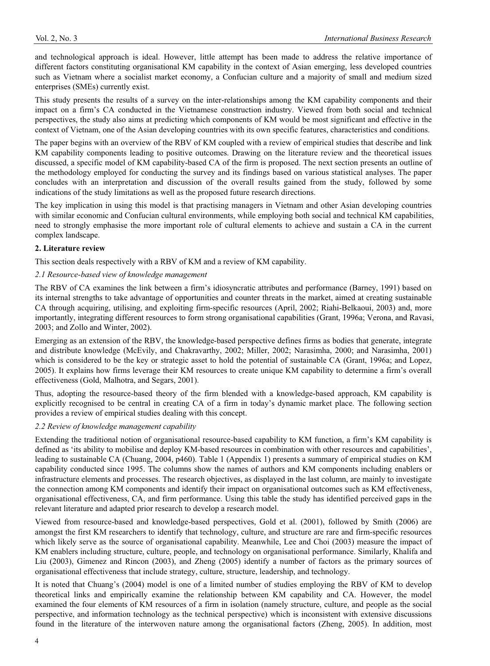and technological approach is ideal. However, little attempt has been made to address the relative importance of different factors constituting organisational KM capability in the context of Asian emerging, less developed countries such as Vietnam where a socialist market economy, a Confucian culture and a majority of small and medium sized enterprises (SMEs) currently exist.

This study presents the results of a survey on the inter-relationships among the KM capability components and their impact on a firm's CA conducted in the Vietnamese construction industry. Viewed from both social and technical perspectives, the study also aims at predicting which components of KM would be most significant and effective in the context of Vietnam, one of the Asian developing countries with its own specific features, characteristics and conditions.

The paper begins with an overview of the RBV of KM coupled with a review of empirical studies that describe and link KM capability components leading to positive outcomes. Drawing on the literature review and the theoretical issues discussed, a specific model of KM capability-based CA of the firm is proposed. The next section presents an outline of the methodology employed for conducting the survey and its findings based on various statistical analyses. The paper concludes with an interpretation and discussion of the overall results gained from the study, followed by some indications of the study limitations as well as the proposed future research directions.

The key implication in using this model is that practising managers in Vietnam and other Asian developing countries with similar economic and Confucian cultural environments, while employing both social and technical KM capabilities, need to strongly emphasise the more important role of cultural elements to achieve and sustain a CA in the current complex landscape.

#### **2. Literature review**

This section deals respectively with a RBV of KM and a review of KM capability.

#### *2.1 Resource-based view of knowledge management*

The RBV of CA examines the link between a firm's idiosyncratic attributes and performance (Barney, 1991) based on its internal strengths to take advantage of opportunities and counter threats in the market, aimed at creating sustainable CA through acquiring, utilising, and exploiting firm-specific resources (April, 2002; Riahi-Belkaoui, 2003) and, more importantly, integrating different resources to form strong organisational capabilities (Grant, 1996a; Verona, and Ravasi, 2003; and Zollo and Winter, 2002).

Emerging as an extension of the RBV, the knowledge-based perspective defines firms as bodies that generate, integrate and distribute knowledge (McEvily, and Chakravarthy, 2002; Miller, 2002; Narasimha, 2000; and Narasimha, 2001) which is considered to be the key or strategic asset to hold the potential of sustainable CA (Grant, 1996a; and Lopez, 2005). It explains how firms leverage their KM resources to create unique KM capability to determine a firm's overall effectiveness (Gold, Malhotra, and Segars, 2001).

Thus, adopting the resource-based theory of the firm blended with a knowledge-based approach, KM capability is explicitly recognised to be central in creating CA of a firm in today's dynamic market place. The following section provides a review of empirical studies dealing with this concept.

#### *2.2 Review of knowledge management capability*

Extending the traditional notion of organisational resource-based capability to KM function, a firm's KM capability is defined as 'its ability to mobilise and deploy KM-based resources in combination with other resources and capabilities', leading to sustainable CA (Chuang, 2004, p460). Table 1 (Appendix 1) presents a summary of empirical studies on KM capability conducted since 1995. The columns show the names of authors and KM components including enablers or infrastructure elements and processes. The research objectives, as displayed in the last column, are mainly to investigate the connection among KM components and identify their impact on organisational outcomes such as KM effectiveness, organisational effectiveness, CA, and firm performance. Using this table the study has identified perceived gaps in the relevant literature and adapted prior research to develop a research model.

Viewed from resource-based and knowledge-based perspectives, Gold et al. (2001), followed by Smith (2006) are amongst the first KM researchers to identify that technology, culture, and structure are rare and firm-specific resources which likely serve as the source of organisational capability. Meanwhile, Lee and Choi (2003) measure the impact of KM enablers including structure, culture, people, and technology on organisational performance. Similarly, Khalifa and Liu (2003), Gimenez and Rincon (2003), and Zheng (2005) identify a number of factors as the primary sources of organisational effectiveness that include strategy, culture, structure, leadership, and technology.

It is noted that Chuang's (2004) model is one of a limited number of studies employing the RBV of KM to develop theoretical links and empirically examine the relationship between KM capability and CA. However, the model examined the four elements of KM resources of a firm in isolation (namely structure, culture, and people as the social perspective, and information technology as the technical perspective) which is inconsistent with extensive discussions found in the literature of the interwoven nature among the organisational factors (Zheng, 2005). In addition, most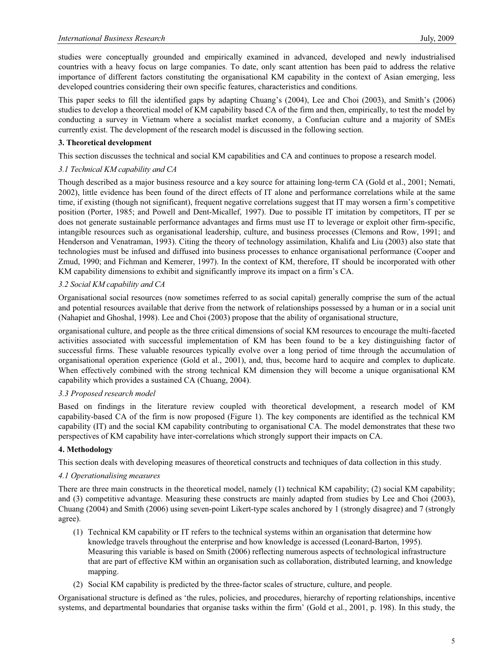studies were conceptually grounded and empirically examined in advanced, developed and newly industrialised countries with a heavy focus on large companies. To date, only scant attention has been paid to address the relative importance of different factors constituting the organisational KM capability in the context of Asian emerging, less developed countries considering their own specific features, characteristics and conditions.

This paper seeks to fill the identified gaps by adapting Chuang's (2004), Lee and Choi (2003), and Smith's (2006) studies to develop a theoretical model of KM capability based CA of the firm and then, empirically, to test the model by conducting a survey in Vietnam where a socialist market economy, a Confucian culture and a majority of SMEs currently exist. The development of the research model is discussed in the following section.

#### **3. Theoretical development**

This section discusses the technical and social KM capabilities and CA and continues to propose a research model.

#### *3.1 Technical KM capability and CA*

Though described as a major business resource and a key source for attaining long-term CA (Gold et al., 2001; Nemati, 2002), little evidence has been found of the direct effects of IT alone and performance correlations while at the same time, if existing (though not significant), frequent negative correlations suggest that IT may worsen a firm's competitive position (Porter, 1985; and Powell and Dent-Micallef, 1997). Due to possible IT imitation by competitors, IT per se does not generate sustainable performance advantages and firms must use IT to leverage or exploit other firm-specific, intangible resources such as organisational leadership, culture, and business processes (Clemons and Row, 1991; and Henderson and Venatraman, 1993). Citing the theory of technology assimilation, Khalifa and Liu (2003) also state that technologies must be infused and diffused into business processes to enhance organisational performance (Cooper and Zmud, 1990; and Fichman and Kemerer, 1997). In the context of KM, therefore, IT should be incorporated with other KM capability dimensions to exhibit and significantly improve its impact on a firm's CA.

#### *3.2 Social KM capability and CA*

Organisational social resources (now sometimes referred to as social capital) generally comprise the sum of the actual and potential resources available that derive from the network of relationships possessed by a human or in a social unit (Nahapiet and Ghoshal, 1998). Lee and Choi (2003) propose that the ability of organisational structure,

organisational culture, and people as the three critical dimensions of social KM resources to encourage the multi-faceted activities associated with successful implementation of KM has been found to be a key distinguishing factor of successful firms. These valuable resources typically evolve over a long period of time through the accumulation of organisational operation experience (Gold et al., 2001), and, thus, become hard to acquire and complex to duplicate. When effectively combined with the strong technical KM dimension they will become a unique organisational KM capability which provides a sustained CA (Chuang, 2004).

#### *3.3 Proposed research model*

Based on findings in the literature review coupled with theoretical development, a research model of KM capability-based CA of the firm is now proposed (Figure 1). The key components are identified as the technical KM capability (IT) and the social KM capability contributing to organisational CA. The model demonstrates that these two perspectives of KM capability have inter-correlations which strongly support their impacts on CA.

#### **4. Methodology**

This section deals with developing measures of theoretical constructs and techniques of data collection in this study.

#### *4.1 Operationalising measures*

There are three main constructs in the theoretical model, namely (1) technical KM capability; (2) social KM capability; and (3) competitive advantage. Measuring these constructs are mainly adapted from studies by Lee and Choi (2003), Chuang (2004) and Smith (2006) using seven-point Likert-type scales anchored by 1 (strongly disagree) and 7 (strongly agree).

- (1) Technical KM capability or IT refers to the technical systems within an organisation that determine how knowledge travels throughout the enterprise and how knowledge is accessed (Leonard-Barton, 1995). Measuring this variable is based on Smith (2006) reflecting numerous aspects of technological infrastructure that are part of effective KM within an organisation such as collaboration, distributed learning, and knowledge mapping.
- (2) Social KM capability is predicted by the three-factor scales of structure, culture, and people.

Organisational structure is defined as 'the rules, policies, and procedures, hierarchy of reporting relationships, incentive systems, and departmental boundaries that organise tasks within the firm' (Gold et al., 2001, p. 198). In this study, the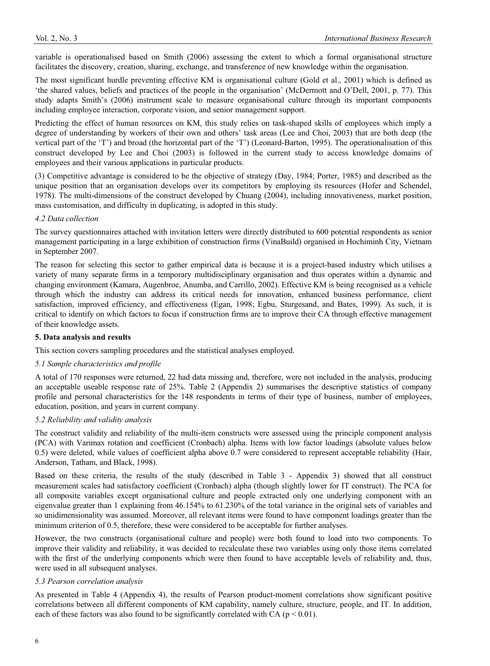variable is operationalised based on Smith (2006) assessing the extent to which a formal organisational structure facilitates the discovery, creation, sharing, exchange, and transference of new knowledge within the organisation.

The most significant hurdle preventing effective KM is organisational culture (Gold et al., 2001) which is defined as 'the shared values, beliefs and practices of the people in the organisation' (McDermott and O'Dell, 2001, p. 77). This study adapts Smith's (2006) instrument scale to measure organisational culture through its important components including employee interaction, corporate vision, and senior management support.

Predicting the effect of human resources on KM, this study relies on task-shaped skills of employees which imply a degree of understanding by workers of their own and others' task areas (Lee and Choi, 2003) that are both deep (the vertical part of the 'T') and broad (the horizontal part of the 'T') (Leonard-Barton, 1995). The operationalisation of this construct developed by Lee and Choi (2003) is followed in the current study to access knowledge domains of employees and their various applications in particular products.

(3) Competitive advantage is considered to be the objective of strategy (Day, 1984; Porter, 1985) and described as the unique position that an organisation develops over its competitors by employing its resources (Hofer and Schendel, 1978). The multi-dimensions of the construct developed by Chuang (2004), including innovativeness, market position, mass customisation, and difficulty in duplicating, is adopted in this study.

#### *4.2 Data collection*

The survey questionnaires attached with invitation letters were directly distributed to 600 potential respondents as senior management participating in a large exhibition of construction firms (VinaBuild) organised in Hochiminh City, Vietnam in September 2007.

The reason for selecting this sector to gather empirical data is because it is a project-based industry which utilises a variety of many separate firms in a temporary multidisciplinary organisation and thus operates within a dynamic and changing environment (Kamara, Augenbroe, Anumba, and Carrillo, 2002). Effective KM is being recognised as a vehicle through which the industry can address its critical needs for innovation, enhanced business performance, client satisfaction, improved efficiency, and effectiveness (Egan, 1998; Egbu, Sturgesand, and Bates, 1999). As such, it is critical to identify on which factors to focus if construction firms are to improve their CA through effective management of their knowledge assets.

#### **5. Data analysis and results**

This section covers sampling procedures and the statistical analyses employed.

#### *5.1 Sample characteristics and profile*

A total of 170 responses were returned, 22 had data missing and, therefore, were not included in the analysis, producing an acceptable useable response rate of 25%. Table 2 (Appendix 2) summarises the descriptive statistics of company profile and personal characteristics for the 148 respondents in terms of their type of business, number of employees, education, position, and years in current company.

#### *5.2 Reliability and validity analysis*

The construct validity and reliability of the multi-item constructs were assessed using the principle component analysis (PCA) with Varimax rotation and coefficient (Cronbach) alpha. Items with low factor loadings (absolute values below 0.5) were deleted, while values of coefficient alpha above 0.7 were considered to represent acceptable reliability (Hair, Anderson, Tatham, and Black, 1998).

Based on these criteria, the results of the study (described in Table 3 - Appendix 3) showed that all construct measurement scales had satisfactory coefficient (Cronbach) alpha (though slightly lower for IT construct). The PCA for all composite variables except organisational culture and people extracted only one underlying component with an eigenvalue greater than 1 explaining from 46.154% to 61.230% of the total variance in the original sets of variables and so unidimensionality was assumed. Moreover, all relevant items were found to have component loadings greater than the minimum criterion of 0.5, therefore, these were considered to be acceptable for further analyses.

However, the two constructs (organisational culture and people) were both found to load into two components. To improve their validity and reliability, it was decided to recalculate these two variables using only those items correlated with the first of the underlying components which were then found to have acceptable levels of reliability and, thus, were used in all subsequent analyses.

#### *5.3 Pearson correlation analysis*

As presented in Table 4 (Appendix 4), the results of Pearson product-moment correlations show significant positive correlations between all different components of KM capability, namely culture, structure, people, and IT. In addition, each of these factors was also found to be significantly correlated with CA ( $p < 0.01$ ).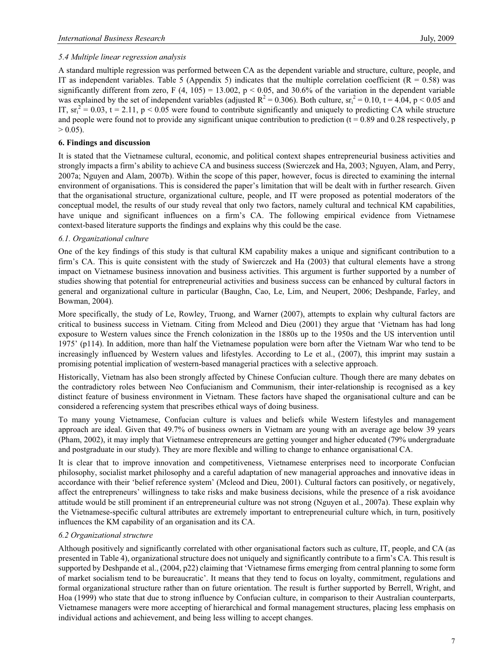#### *5.4 Multiple linear regression analysis*

A standard multiple regression was performed between CA as the dependent variable and structure, culture, people, and IT as independent variables. Table 5 (Appendix 5) indicates that the multiple correlation coefficient ( $R = 0.58$ ) was significantly different from zero, F (4, 105) = 13.002,  $p < 0.05$ , and 30.6% of the variation in the dependent variable was explained by the set of independent variables (adjusted  $R^2 = 0.306$ ). Both culture,  $sr_i^2 = 0.10$ ,  $t = 4.04$ ,  $p < 0.05$  and IT,  $sr_i^2 = 0.03$ , t = 2.11, p < 0.05 were found to contribute significantly and uniquely to predicting CA while structure and people were found not to provide any significant unique contribution to prediction  $(t = 0.89$  and 0.28 respectively, p  $> 0.05$ ).

#### **6. Findings and discussion**

It is stated that the Vietnamese cultural, economic, and political context shapes entrepreneurial business activities and strongly impacts a firm's ability to achieve CA and business success (Swierczek and Ha, 2003; Nguyen, Alam, and Perry, 2007a; Nguyen and Alam, 2007b). Within the scope of this paper, however, focus is directed to examining the internal environment of organisations. This is considered the paper's limitation that will be dealt with in further research. Given that the organisational structure, organizational culture, people, and IT were proposed as potential moderators of the conceptual model, the results of our study reveal that only two factors, namely cultural and technical KM capabilities, have unique and significant influences on a firm's CA. The following empirical evidence from Vietnamese context-based literature supports the findings and explains why this could be the case.

#### *6.1. Organizational culture*

One of the key findings of this study is that cultural KM capability makes a unique and significant contribution to a firm's CA. This is quite consistent with the study of Swierczek and Ha (2003) that cultural elements have a strong impact on Vietnamese business innovation and business activities. This argument is further supported by a number of studies showing that potential for entrepreneurial activities and business success can be enhanced by cultural factors in general and organizational culture in particular (Baughn, Cao, Le, Lim, and Neupert, 2006; Deshpande, Farley, and Bowman, 2004).

More specifically, the study of Le, Rowley, Truong, and Warner (2007), attempts to explain why cultural factors are critical to business success in Vietnam. Citing from Mcleod and Dieu (2001) they argue that 'Vietnam has had long exposure to Western values since the French colonization in the 1880s up to the 1950s and the US intervention until 1975' (p114). In addition, more than half the Vietnamese population were born after the Vietnam War who tend to be increasingly influenced by Western values and lifestyles. According to Le et al., (2007), this imprint may sustain a promising potential implication of western-based managerial practices with a selective approach.

Historically, Vietnam has also been strongly affected by Chinese Confucian culture. Though there are many debates on the contradictory roles between Neo Confucianism and Communism, their inter-relationship is recognised as a key distinct feature of business environment in Vietnam. These factors have shaped the organisational culture and can be considered a referencing system that prescribes ethical ways of doing business.

To many young Vietnamese, Confucian culture is values and beliefs while Western lifestyles and management approach are ideal. Given that 49.7% of business owners in Vietnam are young with an average age below 39 years (Pham, 2002), it may imply that Vietnamese entrepreneurs are getting younger and higher educated (79% undergraduate and postgraduate in our study). They are more flexible and willing to change to enhance organisational CA.

It is clear that to improve innovation and competitiveness, Vietnamese enterprises need to incorporate Confucian philosophy, socialist market philosophy and a careful adaptation of new managerial approaches and innovative ideas in accordance with their 'belief reference system' (Mcleod and Dieu, 2001). Cultural factors can positively, or negatively, affect the entrepreneurs' willingness to take risks and make business decisions, while the presence of a risk avoidance attitude would be still prominent if an entrepreneurial culture was not strong (Nguyen et al., 2007a). These explain why the Vietnamese-specific cultural attributes are extremely important to entrepreneurial culture which, in turn, positively influences the KM capability of an organisation and its CA.

#### *6.2 Organizational structure*

Although positively and significantly correlated with other organisational factors such as culture, IT, people, and CA (as presented in Table 4), organizational structure does not uniquely and significantly contribute to a firm's CA. This result is supported by Deshpande et al., (2004, p22) claiming that 'Vietnamese firms emerging from central planning to some form of market socialism tend to be bureaucratic'. It means that they tend to focus on loyalty, commitment, regulations and formal organizational structure rather than on future orientation. The result is further supported by Berrell, Wright, and Hoa (1999) who state that due to strong influence by Confucian culture, in comparison to their Australian counterparts, Vietnamese managers were more accepting of hierarchical and formal management structures, placing less emphasis on individual actions and achievement, and being less willing to accept changes.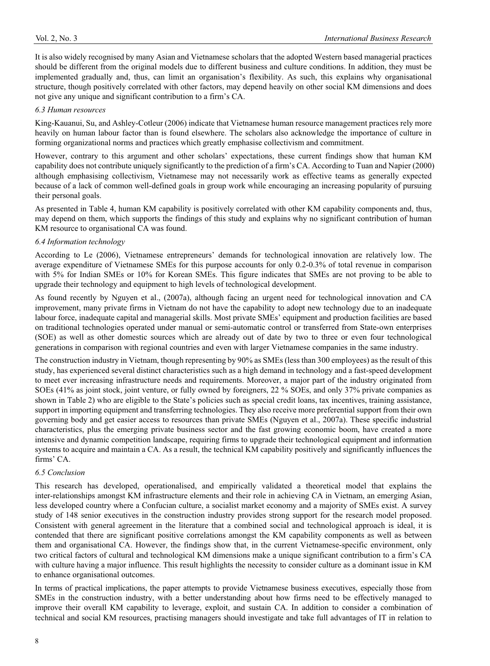It is also widely recognised by many Asian and Vietnamese scholars that the adopted Western based managerial practices should be different from the original models due to different business and culture conditions. In addition, they must be implemented gradually and, thus, can limit an organisation's flexibility. As such, this explains why organisational structure, though positively correlated with other factors, may depend heavily on other social KM dimensions and does not give any unique and significant contribution to a firm's CA.

#### *6.3 Human resources*

King-Kauanui, Su, and Ashley-Cotleur (2006) indicate that Vietnamese human resource management practices rely more heavily on human labour factor than is found elsewhere. The scholars also acknowledge the importance of culture in forming organizational norms and practices which greatly emphasise collectivism and commitment.

However, contrary to this argument and other scholars' expectations, these current findings show that human KM capability does not contribute uniquely significantly to the prediction of a firm's CA. According to Tuan and Napier (2000) although emphasising collectivism, Vietnamese may not necessarily work as effective teams as generally expected because of a lack of common well-defined goals in group work while encouraging an increasing popularity of pursuing their personal goals.

As presented in Table 4, human KM capability is positively correlated with other KM capability components and, thus, may depend on them, which supports the findings of this study and explains why no significant contribution of human KM resource to organisational CA was found.

#### *6.4 Information technology*

According to Le (2006), Vietnamese entrepreneurs' demands for technological innovation are relatively low. The average expenditure of Vietnamese SMEs for this purpose accounts for only 0.2-0.3% of total revenue in comparison with 5% for Indian SMEs or 10% for Korean SMEs. This figure indicates that SMEs are not proving to be able to upgrade their technology and equipment to high levels of technological development.

As found recently by Nguyen et al., (2007a), although facing an urgent need for technological innovation and CA improvement, many private firms in Vietnam do not have the capability to adopt new technology due to an inadequate labour force, inadequate capital and managerial skills. Most private SMEs' equipment and production facilities are based on traditional technologies operated under manual or semi-automatic control or transferred from State-own enterprises (SOE) as well as other domestic sources which are already out of date by two to three or even four technological generations in comparison with regional countries and even with larger Vietnamese companies in the same industry.

The construction industry in Vietnam, though representing by 90% as SMEs (less than 300 employees) as the result of this study, has experienced several distinct characteristics such as a high demand in technology and a fast-speed development to meet ever increasing infrastructure needs and requirements. Moreover, a major part of the industry originated from SOEs (41% as joint stock, joint venture, or fully owned by foreigners, 22 % SOEs, and only 37% private companies as shown in Table 2) who are eligible to the State's policies such as special credit loans, tax incentives, training assistance, support in importing equipment and transferring technologies. They also receive more preferential support from their own governing body and get easier access to resources than private SMEs (Nguyen et al., 2007a). These specific industrial characteristics, plus the emerging private business sector and the fast growing economic boom, have created a more intensive and dynamic competition landscape, requiring firms to upgrade their technological equipment and information systems to acquire and maintain a CA. As a result, the technical KM capability positively and significantly influences the firms' CA.

#### *6.5 Conclusion*

This research has developed, operationalised, and empirically validated a theoretical model that explains the inter-relationships amongst KM infrastructure elements and their role in achieving CA in Vietnam, an emerging Asian, less developed country where a Confucian culture, a socialist market economy and a majority of SMEs exist. A survey study of 148 senior executives in the construction industry provides strong support for the research model proposed. Consistent with general agreement in the literature that a combined social and technological approach is ideal, it is contended that there are significant positive correlations amongst the KM capability components as well as between them and organisational CA. However, the findings show that, in the current Vietnamese-specific environment, only two critical factors of cultural and technological KM dimensions make a unique significant contribution to a firm's CA with culture having a major influence. This result highlights the necessity to consider culture as a dominant issue in KM to enhance organisational outcomes.

In terms of practical implications, the paper attempts to provide Vietnamese business executives, especially those from SMEs in the construction industry, with a better understanding about how firms need to be effectively managed to improve their overall KM capability to leverage, exploit, and sustain CA. In addition to consider a combination of technical and social KM resources, practising managers should investigate and take full advantages of IT in relation to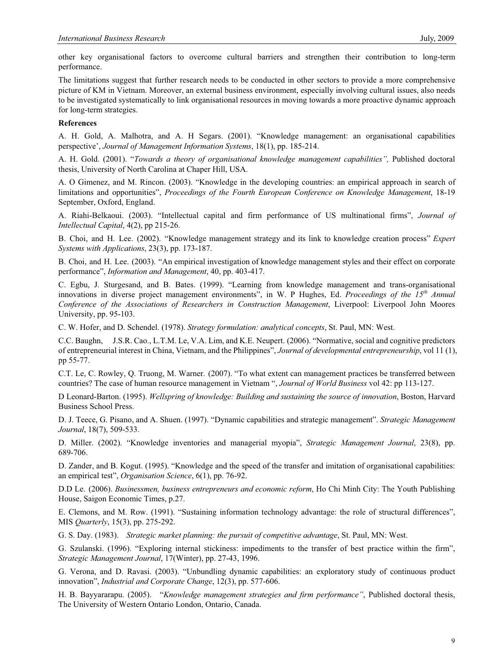other key organisational factors to overcome cultural barriers and strengthen their contribution to long-term performance.

The limitations suggest that further research needs to be conducted in other sectors to provide a more comprehensive picture of KM in Vietnam. Moreover, an external business environment, especially involving cultural issues, also needs to be investigated systematically to link organisational resources in moving towards a more proactive dynamic approach for long-term strategies.

#### **References**

A. H. Gold, A. Malhotra, and A. H Segars. (2001). "Knowledge management: an organisational capabilities perspective', *Journal of Management Information Systems*, 18(1), pp. 185-214.

A. H. Gold. (2001). "*Towards a theory of organisational knowledge management capabilities",* Published doctoral thesis, University of North Carolina at Chaper Hill, USA.

A. O Gimenez, and M. Rincon. (2003). "Knowledge in the developing countries: an empirical approach in search of limitations and opportunities", *Proceedings of the Fourth European Conference on Knowledge Management*, 18-19 September, Oxford, England.

A. Riahi-Belkaoui. (2003). "Intellectual capital and firm performance of US multinational firms", *Journal of Intellectual Capital*, 4(2), pp 215-26.

B. Choi, and H. Lee. (2002). "Knowledge management strategy and its link to knowledge creation process" *Expert Systems with Applications*, 23(3), pp. 173-187.

B. Choi, and H. Lee. (2003). "An empirical investigation of knowledge management styles and their effect on corporate performance", *Information and Management*, 40, pp. 403-417.

C. Egbu, J. Sturgesand, and B. Bates. (1999). "Learning from knowledge management and trans-organisational innovations in diverse project management environments", in W. P Hughes, Ed. *Proceedings of the 15th Annual Conference of the Associations of Researchers in Construction Management*, Liverpool: Liverpool John Moores University, pp. 95-103.

C. W. Hofer, and D. Schendel. (1978). *Strategy formulation: analytical concepts*, St. Paul, MN: West.

C.C. Baughn, J.S.R. Cao., L.T.M. Le, V.A. Lim, and K.E. Neupert. (2006). "Normative, social and cognitive predictors of entrepreneurial interest in China, Vietnam, and the Philippines", *Journal of developmental entrepreneurship*, vol 11 (1), pp 55-77.

C.T. Le, C. Rowley, Q. Truong, M. Warner. (2007). "To what extent can management practices be transferred between countries? The case of human resource management in Vietnam ", *Journal of World Business* vol 42: pp 113-127.

D Leonard-Barton. (1995). *Wellspring of knowledge: Building and sustaining the source of innovation*, Boston, Harvard Business School Press.

D. J. Teece, G. Pisano, and A. Shuen. (1997). "Dynamic capabilities and strategic management". *Strategic Management Journal*, 18(7), 509-533.

D. Miller. (2002). "Knowledge inventories and managerial myopia", *Strategic Management Journal*, 23(8), pp. 689-706.

D. Zander, and B. Kogut. (1995). "Knowledge and the speed of the transfer and imitation of organisational capabilities: an empirical test", *Organisation Science*, 6(1), pp. 76-92.

D.D Le. (2006). *Businessmen, business entrepreneurs and economic reform*, Ho Chi Minh City: The Youth Publishing House, Saigon Economic Times, p.27.

E. Clemons, and M. Row. (1991). "Sustaining information technology advantage: the role of structural differences", MIS *Quarterly*, 15(3), pp. 275-292.

G. S. Day. (1983). *Strategic market planning: the pursuit of competitive advantage*, St. Paul, MN: West.

G. Szulanski. (1996). "Exploring internal stickiness: impediments to the transfer of best practice within the firm", *Strategic Management Journal*, 17(Winter), pp. 27-43, 1996.

G. Verona, and D. Ravasi. (2003). "Unbundling dynamic capabilities: an exploratory study of continuous product innovation", *Industrial and Corporate Change*, 12(3), pp. 577-606.

H. B. Bayyararapu. (2005). "*Knowledge management strategies and firm performance"*, Published doctoral thesis, The University of Western Ontario London, Ontario, Canada.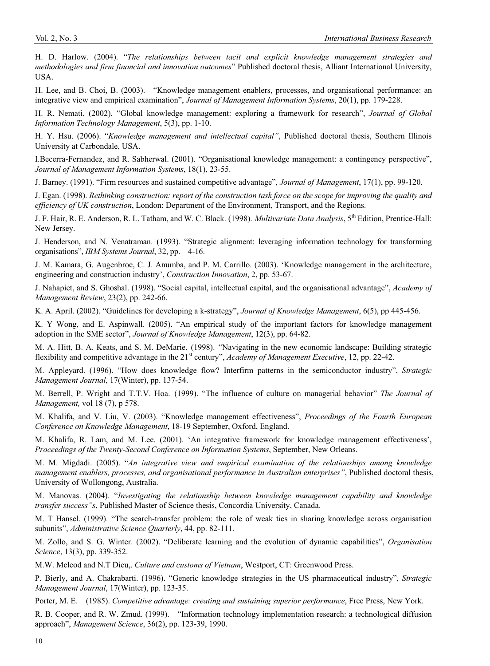H. D. Harlow. (2004). "*The relationships between tacit and explicit knowledge management strategies and methodologies and firm financial and innovation outcomes*" Published doctoral thesis, Alliant International University, USA.

H. Lee, and B. Choi, B. (2003). "Knowledge management enablers, processes, and organisational performance: an integrative view and empirical examination", *Journal of Management Information Systems*, 20(1), pp. 179-228.

H. R. Nemati. (2002). "Global knowledge management: exploring a framework for research", *Journal of Global Information Technology Management*, 5(3), pp. 1-10.

H. Y. Hsu. (2006). "*Knowledge management and intellectual capital"*, Published doctoral thesis, Southern Illinois University at Carbondale, USA.

I.Becerra-Fernandez, and R. Sabherwal. (2001). "Organisational knowledge management: a contingency perspective", *Journal of Management Information Systems*, 18(1), 23-55.

J. Barney. (1991). "Firm resources and sustained competitive advantage", *Journal of Management*, 17(1), pp. 99-120.

J. Egan. (1998). *Rethinking construction: report of the construction task force on the scope for improving the quality and efficiency of UK construction*, London: Department of the Environment, Transport, and the Regions.

J. F. Hair, R. E. Anderson, R. L. Tatham, and W. C. Black. (1998). *Multivariate Data Analysis*, 5th Edition, Prentice-Hall: New Jersey.

J. Henderson, and N. Venatraman. (1993). "Strategic alignment: leveraging information technology for transforming organisations", *IBM Systems Journal*, 32, pp. 4-16.

J. M. Kamara, G. Augenbroe, C. J. Anumba, and P. M. Carrillo. (2003). 'Knowledge management in the architecture, engineering and construction industry', *Construction Innovation*, 2, pp. 53-67.

J. Nahapiet, and S. Ghoshal. (1998). "Social capital, intellectual capital, and the organisational advantage", *Academy of Management Review*, 23(2), pp. 242-66.

K. A. April. (2002). "Guidelines for developing a k-strategy", *Journal of Knowledge Management*, 6(5), pp 445-456.

K. Y Wong, and E. Aspinwall. (2005). "An empirical study of the important factors for knowledge management adoption in the SME sector", *Journal of Knowledge Management*, 12(3), pp. 64-82.

M. A. Hitt, B. A. Keats, and S. M. DeMarie. (1998). "Navigating in the new economic landscape: Building strategic flexibility and competitive advantage in the 21<sup>st</sup> century", *Academy of Management Executive*, 12, pp. 22-42.

M. Appleyard. (1996). "How does knowledge flow? Interfirm patterns in the semiconductor industry", *Strategic Management Journal*, 17(Winter), pp. 137-54.

M. Berrell, P. Wright and T.T.V. Hoa. (1999). "The influence of culture on managerial behavior" *The Journal of Management,* vol 18 (7), p 578.

M. Khalifa, and V. Liu, V. (2003). "Knowledge management effectiveness", *Proceedings of the Fourth European Conference on Knowledge Management*, 18-19 September, Oxford, England.

M. Khalifa, R. Lam, and M. Lee. (2001). 'An integrative framework for knowledge management effectiveness', *Proceedings of the Twenty-Second Conference on Information Systems*, September, New Orleans.

M. M. Migdadi. (2005). "*An integrative view and empirical examination of the relationships among knowledge management enablers, processes, and organisational performance in Australian enterprises"*, Published doctoral thesis, University of Wollongong, Australia.

M. Manovas. (2004). "*Investigating the relationship between knowledge management capability and knowledge transfer success"s*, Published Master of Science thesis, Concordia University, Canada.

M. T Hansel. (1999). "The search-transfer problem: the role of weak ties in sharing knowledge across organisation subunits", *Administrative Science Quarterly*, 44, pp. 82-111.

M. Zollo, and S. G. Winter. (2002). "Deliberate learning and the evolution of dynamic capabilities", *Organisation Science*, 13(3), pp. 339-352.

M.W. Mcleod and N.T Dieu,. *Culture and customs of Vietnam*, Westport, CT: Greenwood Press.

P. Bierly, and A. Chakrabarti. (1996). "Generic knowledge strategies in the US pharmaceutical industry", *Strategic Management Journal*, 17(Winter), pp. 123-35.

Porter, M. E. (1985). *Competitive advantage: creating and sustaining superior performance*, Free Press, New York.

R. B. Cooper, and R. W. Zmud. (1999). "Information technology implementation research: a technological diffusion approach", *Management Science*, 36(2), pp. 123-39, 1990.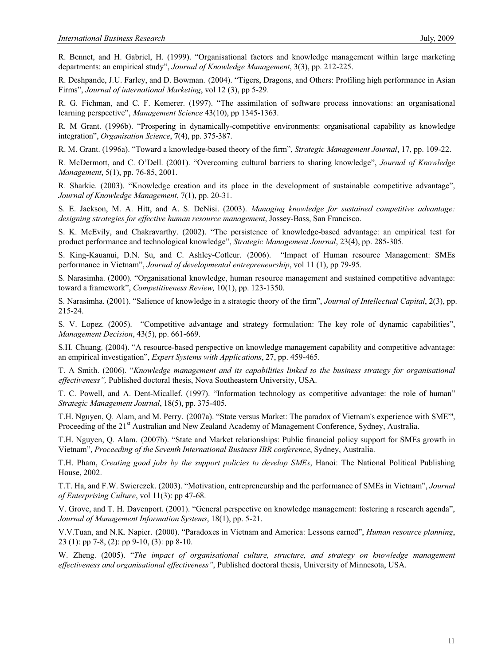R. Bennet, and H. Gabriel, H. (1999). "Organisational factors and knowledge management within large marketing departments: an empirical study", *Journal of Knowledge Management*, 3(3), pp. 212-225.

R. Deshpande, J.U. Farley, and D. Bowman. (2004). "Tigers, Dragons, and Others: Profiling high performance in Asian Firms", *Journal of international Marketing*, vol 12 (3), pp 5-29.

R. G. Fichman, and C. F. Kemerer. (1997). "The assimilation of software process innovations: an organisational learning perspective", *Management Science* 43(10), pp 1345-1363.

R. M Grant. (1996b). "Prospering in dynamically-competitive environments: organisational capability as knowledge integration", *Organisation Science*, **7**(4), pp. 375-387.

R. M. Grant. (1996a). "Toward a knowledge-based theory of the firm", *Strategic Management Journal*, 17, pp. 109-22.

R. McDermott, and C. O'Dell. (2001). "Overcoming cultural barriers to sharing knowledge", *Journal of Knowledge Management*, 5(1), pp. 76-85, 2001.

R. Sharkie. (2003). "Knowledge creation and its place in the development of sustainable competitive advantage", *Journal of Knowledge Management*, 7(1), pp. 20-31.

S. E. Jackson, M. A. Hitt, and A. S. DeNisi. (2003). *Managing knowledge for sustained competitive advantage: designing strategies for effective human resource management*, Jossey-Bass, San Francisco.

S. K. McEvily, and Chakravarthy. (2002). "The persistence of knowledge-based advantage: an empirical test for product performance and technological knowledge", *Strategic Management Journal*, 23(4), pp. 285-305.

S. King-Kauanui, D.N. Su, and C. Ashley-Cotleur. (2006). "Impact of Human resource Management: SMEs performance in Vietnam", *Journal of developmental entrepreneurship*, vol 11 (1), pp 79-95.

S. Narasimha. (2000). "Organisational knowledge, human resource management and sustained competitive advantage: toward a framework", *Competitiveness Review,* 10(1), pp. 123-1350.

S. Narasimha. (2001). "Salience of knowledge in a strategic theory of the firm", *Journal of Intellectual Capital*, 2(3), pp. 215-24.

S. V. Lopez. (2005). "Competitive advantage and strategy formulation: The key role of dynamic capabilities", *Management Decision*, 43(5), pp. 661-669.

S.H. Chuang. (2004). "A resource-based perspective on knowledge management capability and competitive advantage: an empirical investigation", *Expert Systems with Applications*, 27, pp. 459-465.

T. A Smith. (2006). "*Knowledge management and its capabilities linked to the business strategy for organisational effectiveness",* Published doctoral thesis, Nova Southeastern University, USA.

T. C. Powell, and A. Dent-Micallef. (1997). "Information technology as competitive advantage: the role of human" *Strategic Management Journal*, 18(5), pp. 375-405.

T.H. Nguyen, Q. Alam, and M. Perry. (2007a). "State versus Market: The paradox of Vietnam's experience with SME"', Proceeding of the 21<sup>st</sup> Australian and New Zealand Academy of Management Conference, Sydney, Australia.

T.H. Nguyen, Q. Alam. (2007b). "State and Market relationships: Public financial policy support for SMEs growth in Vietnam", *Proceeding of the Seventh International Business IBR conference*, Sydney, Australia.

T.H. Pham, *Creating good jobs by the support policies to develop SMEs*, Hanoi: The National Political Publishing House, 2002.

T.T. Ha, and F.W. Swierczek. (2003). "Motivation, entrepreneurship and the performance of SMEs in Vietnam", *Journal of Enterprising Culture*, vol 11(3): pp 47-68.

V. Grove, and T. H. Davenport. (2001). "General perspective on knowledge management: fostering a research agenda", *Journal of Management Information Systems*, 18(1), pp. 5-21.

V.V.Tuan, and N.K. Napier. (2000). "Paradoxes in Vietnam and America: Lessons earned", *Human resource planning*, 23 (1): pp 7-8, (2): pp 9-10, (3): pp 8-10.

W. Zheng. (2005). "*The impact of organisational culture, structure, and strategy on knowledge management effectiveness and organisational effectiveness"*, Published doctoral thesis, University of Minnesota, USA.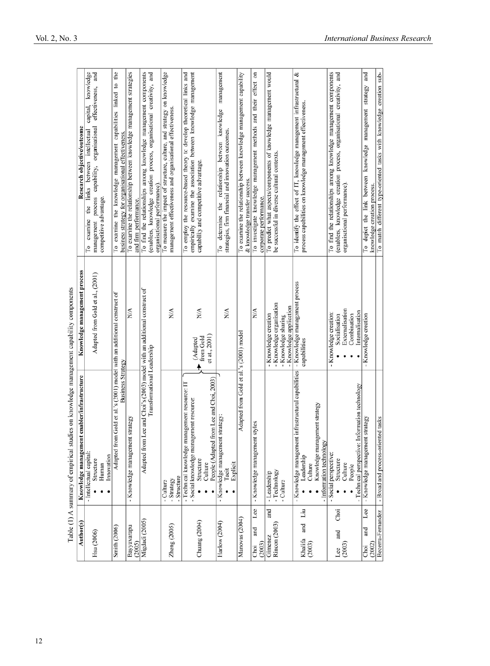|                                        | control (1) which is a set of the state of the state of the state of the state of the state of the state of the state of the state of the state of the state of the state of the state of the state of the state of the state |                                                                                                    |                                                                                                                                                                                   |
|----------------------------------------|-------------------------------------------------------------------------------------------------------------------------------------------------------------------------------------------------------------------------------|----------------------------------------------------------------------------------------------------|-----------------------------------------------------------------------------------------------------------------------------------------------------------------------------------|
| Author(s)                              | Knowledge management enabler/infrastructure                                                                                                                                                                                   | Knowledge management process                                                                       | Research objective/outcome                                                                                                                                                        |
| Hsu (2006)                             | - Intellectual capital:<br>Innovation<br>Structure<br>Human                                                                                                                                                                   | Adapted from Gold et al., (2001)                                                                   | knowledge<br>effectiveness, and<br>capital,<br>capability, organisational<br>links between intellectual<br>process<br>competitive advantage.<br>the<br>To examine<br>management   |
| <b>Smith (2006)</b>                    | Adapted from Gold et al.'s (2001) model with an additional construct of<br><b>Business Strategy</b>                                                                                                                           |                                                                                                    | To examine the knowledge management capabilities linked to the<br>business strategy for organisational effectiveness.                                                             |
| Bayyavarapu<br>(2005)                  | - Knowledge management strategy                                                                                                                                                                                               | N/A                                                                                                | To examine the relationship between knowledge management strategies<br>and firm performance.                                                                                      |
| Migdadi (2005)                         | Adapted from Lee and Choi's (2003) model with an additional construct of<br>Transformational Leadership                                                                                                                       |                                                                                                    | To find the relationships among knowledge management components<br>(enablers, knowledge creation process, organisational creativity, and<br>organisational performance).          |
| Zheng (2005)                           | - Structure<br>- Strategy<br>- Culture                                                                                                                                                                                        | N/A                                                                                                | To measure the impact of structure, culture, and strategy on knowledge<br>management effectiveness and organisational effectiveness.                                              |
| Chuang (2004)                          | from Lee and Choi, 2003)<br>- Technical knowledge management resource: IT<br>- Social knowledge management resource:<br>People (Adapted<br>Structure<br>Culture                                                               | N/A<br>et at., 2001)<br>from Gold<br>(Adapted                                                      | To employ the resource-based theory to develop theoretical links and<br>empirically examine the association between knowledge management<br>capability and competitive advantage. |
| Harlow (2004)                          | - Knowledge management strategy:<br>Explicit<br>Tacit                                                                                                                                                                         | N/A                                                                                                | knowledge management<br>strategies, firm financial and innovation outcomes.<br>between<br>the relationship<br>To determine                                                        |
| Manovas (2004)                         | Adapted from Gold et al.'s (2001) model                                                                                                                                                                                       |                                                                                                    | To examine the relationship between knowledge management capability<br>& knowledge transfer success.                                                                              |
| Lee<br>and<br>(2003)<br>Choi           | at styles<br>- Knowledge managemen                                                                                                                                                                                            | N/A                                                                                                | To investigate knowledge management methods and their effect on<br>corporate performance.                                                                                         |
| and<br><b>Rincon</b> (2003)<br>Gimenez | -Technology<br>- Leadership<br>- Culture                                                                                                                                                                                      | - Knowledge organisation<br>- Knowledge application<br>- Knowledge creation<br>- Knowledge sharing | To predict what aspects/components of knowledge management would<br>be successful in diverse cultural contexts.                                                                   |
| Liu<br>and<br>Khalifa<br>(2003)        | nt infrastructural capabilities<br>Knowledge management strategy<br>- Information technology<br>- Knowledge managemer<br>Leadership<br>Culture                                                                                | - Knowledge management process<br>capabilities                                                     | To identify the effect of IT, knowledge management infrastructural &<br>process capabilities on knowledge management effectiveness.                                               |
| Choi<br>and<br>(2003)<br>Lee           | Information technology<br>- Technical perspective:<br>- Social perspective:<br>Structure<br>Culture<br>People                                                                                                                 | Externalisation<br>Internalisation<br>- Knowledge creation:<br>Combination<br>Socialisation        | (enablers, knowledge creation process, organisational creativity, and<br>To find the relationships among knowledge management components<br>organisational performance).          |
| Lee<br>and<br>(2002)<br>Choi           | - Knowledge management strategy                                                                                                                                                                                               | - Knowledge creation                                                                               | and<br>To depict the link between knowledge management strategy<br>knowledge creation process.                                                                                    |
| Becerra-Fernandez                      | - Broad and process-oriented tasks                                                                                                                                                                                            |                                                                                                    | To match different type-oriented tasks with knowledge creation sub-                                                                                                               |

Table (1)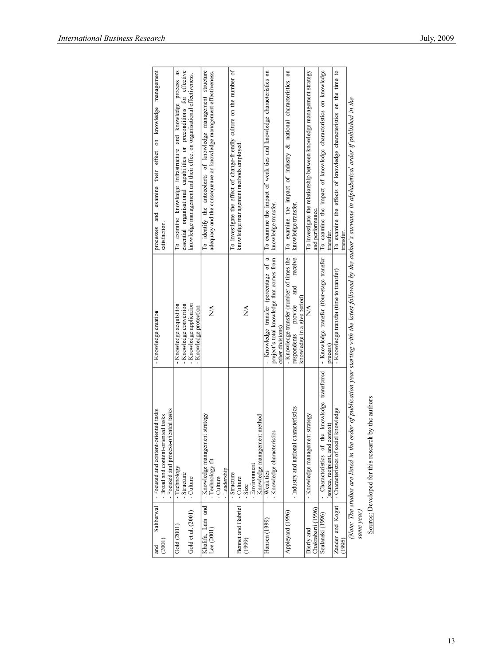| July, 200 |
|-----------|
|           |
|           |
|           |

| Sabherwal<br>and   | ented tasks<br>- Focused and content-ori          | - Knowledge creation                              | processes and examine their effect on knowledge management                                                                                                        |
|--------------------|---------------------------------------------------|---------------------------------------------------|-------------------------------------------------------------------------------------------------------------------------------------------------------------------|
| (2001)             | - Broad and content-oriented tasks                |                                                   | satisfaction.                                                                                                                                                     |
|                    | - Focused and process-oriented tasks              |                                                   |                                                                                                                                                                   |
| Gold (2001)        | - Technology                                      | - Knowledge acquisition                           | as<br>To examine knowledge infrastructure and knowledge process                                                                                                   |
|                    | - Structure                                       | - Knowledge conversion                            | essential organisational capabilities or preconditions for effective                                                                                              |
| Gold et al. (2001) | - Culture                                         | - Knowledge application<br>- Knowledge protection | knowledge management and their effect on organisational effectiveness.                                                                                            |
| Khalifa, Lam and   | - Knowledge management strategy                   |                                                   | To identify the antecedents of knowledge management structure                                                                                                     |
| Lee $(2001)$       | - Technology fit                                  | N/A                                               | adequacy and the consequence on knowledge management effectiveness.                                                                                               |
|                    | Culture                                           |                                                   |                                                                                                                                                                   |
|                    | -Leadership                                       |                                                   |                                                                                                                                                                   |
|                    | - Structure                                       |                                                   | To investigate the effect of change-friendly culture on the number of                                                                                             |
| Bennet and Gabriel | - Culture                                         |                                                   | knowledge management methods employed.                                                                                                                            |
| (1999)             | $-$ Size                                          | N/A                                               |                                                                                                                                                                   |
|                    | - Environment                                     |                                                   |                                                                                                                                                                   |
|                    | - Knowledge management method                     |                                                   |                                                                                                                                                                   |
| Hansen (1999)      | - Weak ties                                       | - Knowledge transfer (percentage of a             | To examine the impact of weak ties and knowledge characteristics on                                                                                               |
|                    | - Knowledge characteristics                       | project's total knowledge that comes from         | knowledge transfer.                                                                                                                                               |
|                    |                                                   | other divisions)                                  |                                                                                                                                                                   |
| Appleyard (1996)   |                                                   | - Knowledge transfer (number of times the         | To examine the impact of industry & national characteristics on                                                                                                   |
|                    | - Industry and national characteristics           | receive<br>and<br>provide<br>respondents          | knowledge transfer.                                                                                                                                               |
|                    |                                                   | knowledge in a give period)                       |                                                                                                                                                                   |
| Bierly and         | t strategy<br>- Knowledge management              | N/A                                               | To investigate the relationship between knowledge management strategy                                                                                             |
| Chakrabarti (1996) |                                                   |                                                   | and performance.                                                                                                                                                  |
| Szulanski (1996)   | knowledge transferred<br>- Characteristics of the | - Knowledge transfer (four-stage transfer         | To examine the impact of knowledge characteristics on knowledge                                                                                                   |
|                    | (source, recipient, and context)                  | process)                                          | transfer.                                                                                                                                                         |
| Zander and Kogut   | knowledge<br>- Characteristics of social          | - Knowledge transfer (time to transfer)           | To examine the effects of knowledge characteristics on the time to                                                                                                |
| (1995)             |                                                   |                                                   | transfer.                                                                                                                                                         |
|                    |                                                   |                                                   | Note: The studies are listed in the order of publication year starting with the latest followed by the author's surname in alphabetical order if published in the |
| same vear)         |                                                   |                                                   |                                                                                                                                                                   |

ame year)<br>Source: Developed for this research by the authors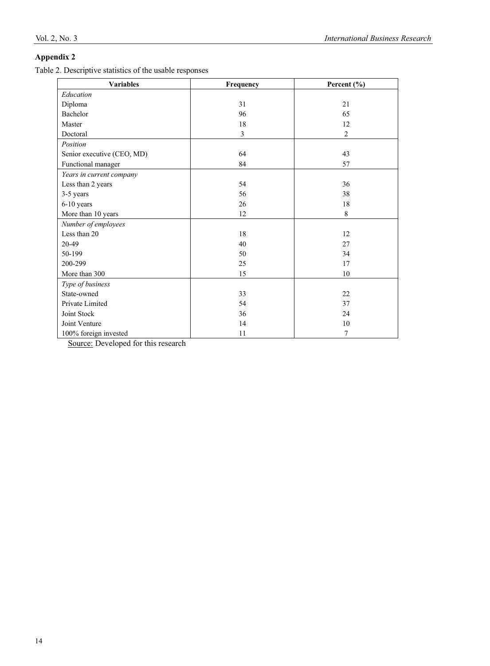# **Appendix 2**

Table 2. Descriptive statistics of the usable responses

| <b>Variables</b>           | Frequency | Percent $(\% )$ |  |  |
|----------------------------|-----------|-----------------|--|--|
| Education                  |           |                 |  |  |
| Diploma                    | 31        | 21              |  |  |
| Bachelor                   | 96        | 65              |  |  |
| Master                     | 18        | 12              |  |  |
| Doctoral                   | 3         | $\overline{2}$  |  |  |
| Position                   |           |                 |  |  |
| Senior executive (CEO, MD) | 64        | 43              |  |  |
| Functional manager         | 84        | 57              |  |  |
| Years in current company   |           |                 |  |  |
| Less than 2 years          | 54        | 36              |  |  |
| 3-5 years                  | 56        | 38              |  |  |
| 6-10 years                 | 26        | 18              |  |  |
| More than 10 years         | 12        | 8               |  |  |
| Number of employees        |           |                 |  |  |
| Less than 20               | 18        | 12              |  |  |
| 20-49                      | 40        | 27              |  |  |
| 50-199                     | 50        | 34              |  |  |
| 200-299                    | 25        | 17              |  |  |
| More than 300              | 15        | 10              |  |  |
| Type of business           |           |                 |  |  |
| State-owned                | 33        | 22              |  |  |
| Private Limited            | 54        | 37              |  |  |
| Joint Stock                | 36        | 24              |  |  |
| Joint Venture              | 14        | 10              |  |  |
| 100% foreign invested      | 11        | 7               |  |  |

Source: Developed for this research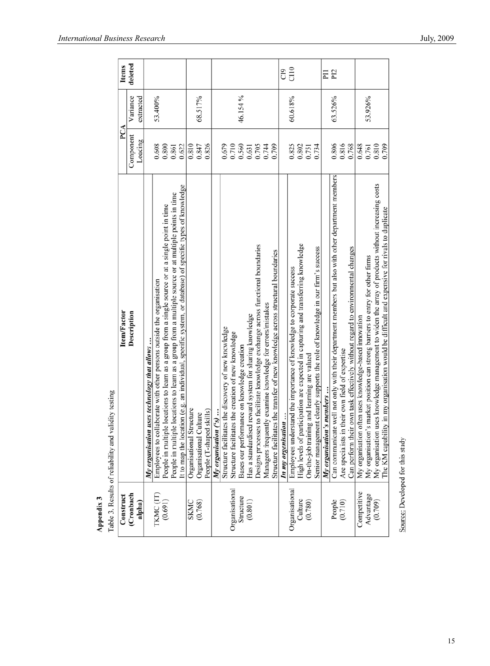|                     | yanury testing<br>Lable 3. INFSUITS OF FEHADITITY AIRE                                                   |                      |                       |                 |
|---------------------|----------------------------------------------------------------------------------------------------------|----------------------|-----------------------|-----------------|
| Construct           | Item/Factor                                                                                              | PCA                  |                       | <b>Items</b>    |
| (Cronbach<br>alpha) | Description                                                                                              | Component<br>Loading | Variance<br>extracted | deleted         |
|                     | My organisation uses technology that allows $\ldots$                                                     |                      |                       |                 |
| TKMC (IT)           | Employees to collaborate with other persons outside the organisation                                     | 0.608                | 53.400%               |                 |
| (0.691)             | People in multiple locations to learn as a group from a single source or at a single point in time       | 0.800                |                       |                 |
|                     | People in multiple locations to learn as a group from a multiple source or at multiple points in time    | 0.861                |                       |                 |
|                     | It to map the location (e.g. an individual, specific system, or database) of specific types of knowledge | 0.622                |                       |                 |
| SKMC                | Organisational Structure                                                                                 | 0.810                |                       |                 |
| (0.768)             | Organisational Culture                                                                                   | 0.847                | 68.517%               |                 |
|                     | People (T-shaped skills)                                                                                 | 0.826                |                       |                 |
|                     | My organisation ('s)                                                                                     |                      |                       |                 |
|                     | Structure facilitates the discovery of new knowledge                                                     | 0.679                |                       |                 |
| Organisational      | Structure facilitates the creation of new knowledge                                                      | 0.710                |                       |                 |
| Structure           | Bases our performance on knowledge creation                                                              | 0.560                | 46.154%               |                 |
| (0.801)             | Has a standardised reward system for sharing knowledge                                                   | 0.631                |                       |                 |
|                     | Designs processes to facilitate knowledge exchange across functional boundaries                          | 0.705                |                       |                 |
|                     | Managers frequently examine knowledge for errors/mistakes                                                | 0.744                |                       |                 |
|                     | Structure facilitates the transfer of new knowledge across structural boundaries                         | 0.709                |                       |                 |
|                     | In my organisation                                                                                       |                      |                       | C <sub>1</sub>  |
| Organisational      | Employees understand the importance of knowledge to corporate success                                    | 0.825                | 60.618%               | C110            |
| Culture             | High levels of participation are expected in capturing and transferring knowledge                        | 0.802                |                       |                 |
| (0.780)             | On-the-job training and learning are valued                                                              | 0.751                |                       |                 |
|                     | Senior management clearly supports the role of knowledge in our firm's success                           | 0.734                |                       |                 |
|                     | My organisation's members                                                                                |                      |                       | ΕI              |
| People              | Can communicate well not only with their department members but also with other department members       | 0.806                | 63.526%               | P <sub>12</sub> |
| (0.710)             | Are specialists in their own field of expertise                                                          | 0.816                |                       |                 |
|                     | Can perform their own task effectively without regard to environmental changes                           | 0.768                |                       |                 |
| Competitive         | My organisation often uses knowledge-based innovation                                                    | 0.648                |                       |                 |
| Advantage           | My organisation's market position can strong barriers to entry for other firms                           | 0.761                | 53.926%               |                 |
| (0.709)             | My organisation uses knowledge management to widen the array of products without increasing costs        | 0.810                |                       |                 |
|                     | The KM capability in my organisation would be difficult and expensive for rivals to duplicate            | 0.709                |                       |                 |

**Appendix 3**<br>Table 3. Results of reliability and validity testing

Source: Developed for this study

ï